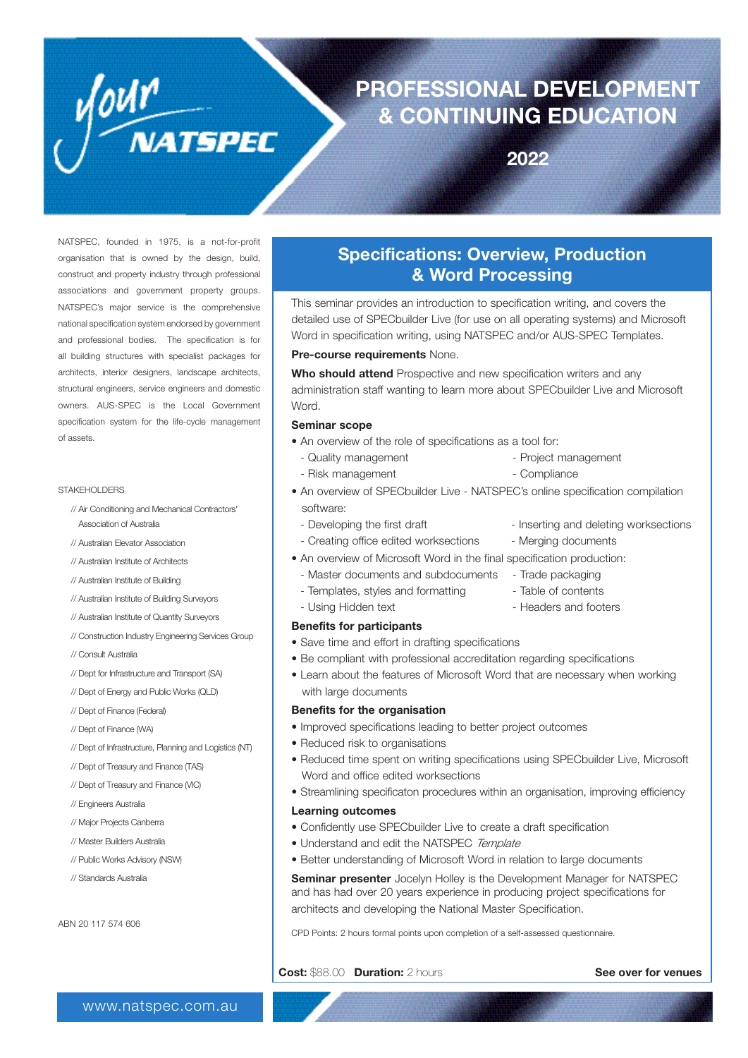# **PROFESSIONAL DEVELOPMENT & CONTINUING EDUCATION**

**2022**

NATSPEC, founded in 1975, is a not-for-profit organisation that is owned by the design, build, construct and property industry through professional associations and government property groups. NATSPEC's major service is the comprehensive national specification system endorsed by government and professional bodies. The specification is for all building structures with specialist packages for architects, interior designers, landscape architects, structural engineers, service engineers and domestic owners. AUS-SPEC is the Local Government specification system for the life-cycle management of assets.

VOUM<br>NATSPEC

#### STAKEHOLDERS

// Air Conditioning and Mechanical Contractors' Association of Australia

// Australian Elevator Association

- // Australian Institute of Architects
- // Australian Institute of Building
- // Australian Institute of Building Surveyors
- // Australian Institute of Quantity Surveyors
- // Construction Industry Engineering Services Group
- // Consult Australia
- // Dept for Infrastructure and Transport (SA)
- // Dept of Energy and Public Works (QLD)
- // Dept of Finance (Federal)
- // Dept of Finance (WA)
- // Dept of Infrastructure, Planning and Logistics (NT)
- // Dept of Treasury and Finance (TAS)
- // Dept of Treasury and Finance (VIC)
- // Engineers Australia
- // Major Projects Canberra
- // Master Builders Australia
- // Public Works Advisory (NSW)
- // Standards Australia

ABN 20 117 574 606

### **Specifications: Overview, Production & Word Processing**

This seminar provides an introduction to specification writing, and covers the detailed use of SPECbuilder Live (for use on all operating systems) and Microsoft Word in specification writing, using NATSPEC and/or AUS-SPEC Templates.

#### **Pre-course requirements** None.

**Who should attend** Prospective and new specification writers and any administration staff wanting to learn more about SPECbuilder Live and Microsoft Word.

#### **Seminar scope**

- An overview of the role of specifications as a tool for:
- Quality management Project management
- Risk management **All and Science Compliance**
- An overview of SPECbuilder Live NATSPEC's online specification compilation software:
	- Developing the first draft Inserting and deleting worksections
		-
	- Creating office edited worksections Merging documents
- An overview of Microsoft Word in the final specification production:
- Master documents and subdocuments Trade packaging
- Templates, styles and formatting Table of contents
- Using Hidden text  **Headers and footers**

#### **Benefits for participants**

- Save time and effort in drafting specifications
- Be compliant with professional accreditation regarding specifications
- Learn about the features of Microsoft Word that are necessary when working with large documents

#### **Benefits for the organisation**

- Improved specifications leading to better project outcomes
- Reduced risk to organisations
- Reduced time spent on writing specifications using SPECbuilder Live, Microsoft Word and office edited worksections
- Streamlining specificaton procedures within an organisation, improving efficiency

#### **Learning outcomes**

- Confidently use SPECbuilder Live to create a draft specification
- Understand and edit the NATSPEC Template
- Better understanding of Microsoft Word in relation to large documents

**Seminar presenter** Jocelyn Holley is the Development Manager for NATSPEC and has had over 20 years experience in producing project specifications for architects and developing the National Master Specification.

CPD Points: 2 hours formal points upon completion of a self-assessed questionnaire.

**Cost:** \$88.00 **Duration:** 2 hours**See over for venues**